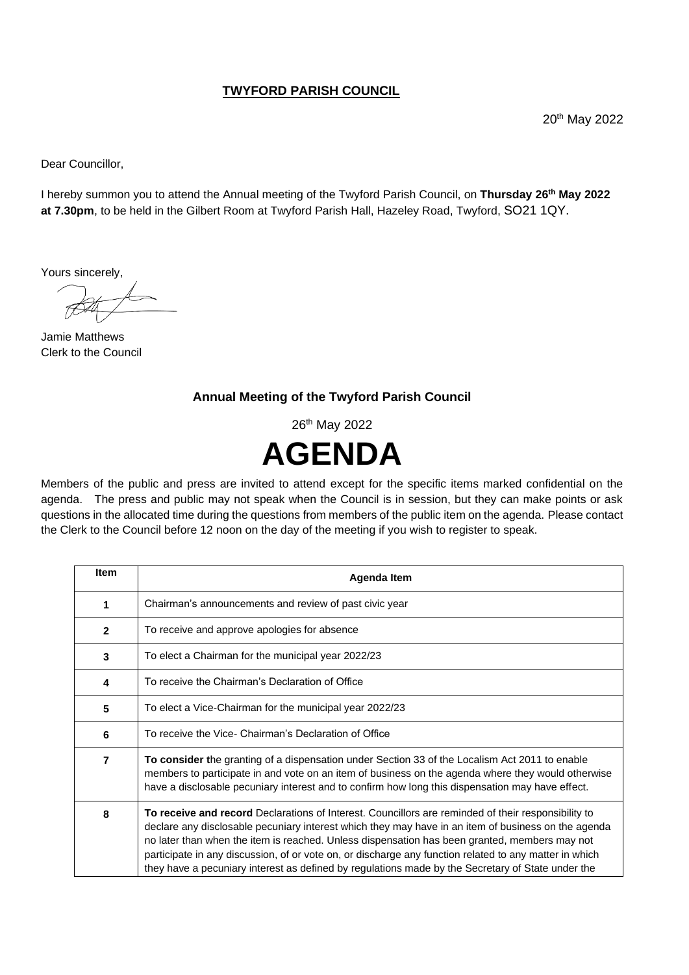## **TWYFORD PARISH COUNCIL**

20th May 2022

Dear Councillor,

I hereby summon you to attend the Annual meeting of the Twyford Parish Council, on **Thursday 26 th May 2022 at 7.30pm**, to be held in the Gilbert Room at Twyford Parish Hall, Hazeley Road, Twyford, SO21 1QY.

Yours sincerely,

Jamie Matthews Clerk to the Council

## **Annual Meeting of the Twyford Parish Council**

26<sup>th</sup> May 2022



Members of the public and press are invited to attend except for the specific items marked confidential on the agenda. The press and public may not speak when the Council is in session, but they can make points or ask questions in the allocated time during the questions from members of the public item on the agenda. Please contact the Clerk to the Council before 12 noon on the day of the meeting if you wish to register to speak.

| Item           | <b>Agenda Item</b>                                                                                                                                                                                                                                                                                                                                                                                                                                                                                                         |
|----------------|----------------------------------------------------------------------------------------------------------------------------------------------------------------------------------------------------------------------------------------------------------------------------------------------------------------------------------------------------------------------------------------------------------------------------------------------------------------------------------------------------------------------------|
| 1              | Chairman's announcements and review of past civic year                                                                                                                                                                                                                                                                                                                                                                                                                                                                     |
| $\mathbf{2}$   | To receive and approve apologies for absence                                                                                                                                                                                                                                                                                                                                                                                                                                                                               |
| 3              | To elect a Chairman for the municipal year 2022/23                                                                                                                                                                                                                                                                                                                                                                                                                                                                         |
| 4              | To receive the Chairman's Declaration of Office                                                                                                                                                                                                                                                                                                                                                                                                                                                                            |
| 5              | To elect a Vice-Chairman for the municipal year 2022/23                                                                                                                                                                                                                                                                                                                                                                                                                                                                    |
| 6              | To receive the Vice- Chairman's Declaration of Office                                                                                                                                                                                                                                                                                                                                                                                                                                                                      |
| $\overline{7}$ | <b>To consider the granting of a dispensation under Section 33 of the Localism Act 2011 to enable</b><br>members to participate in and vote on an item of business on the agenda where they would otherwise<br>have a disclosable pecuniary interest and to confirm how long this dispensation may have effect.                                                                                                                                                                                                            |
| 8              | To receive and record Declarations of Interest. Councillors are reminded of their responsibility to<br>declare any disclosable pecuniary interest which they may have in an item of business on the agenda<br>no later than when the item is reached. Unless dispensation has been granted, members may not<br>participate in any discussion, of or vote on, or discharge any function related to any matter in which<br>they have a pecuniary interest as defined by regulations made by the Secretary of State under the |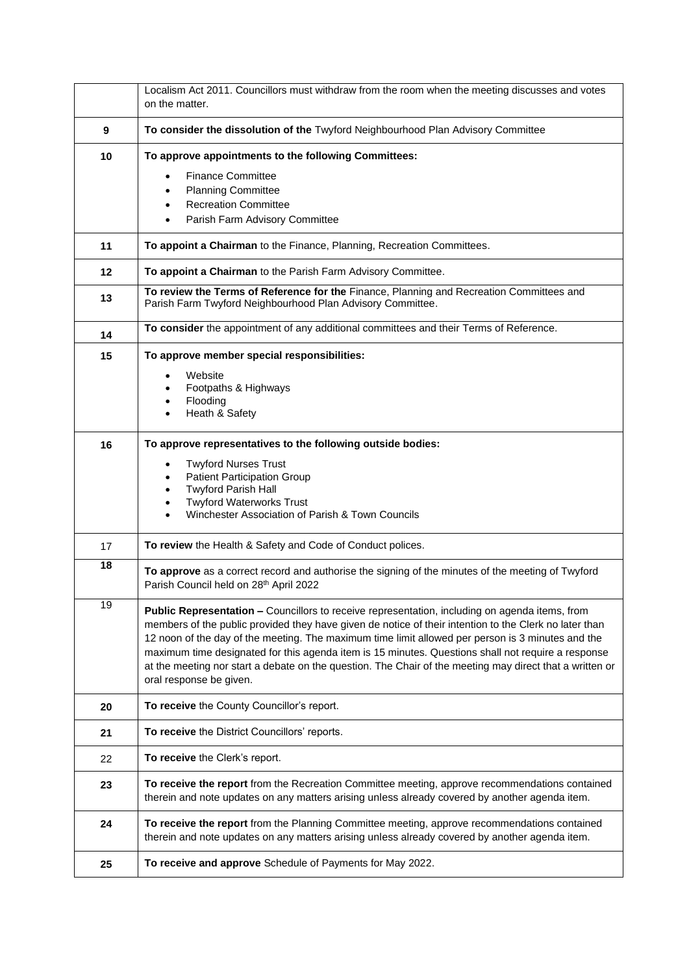|    | Localism Act 2011. Councillors must withdraw from the room when the meeting discusses and votes<br>on the matter.                                                                                                                                                                                                                                                                                                                                                                                                                                          |
|----|------------------------------------------------------------------------------------------------------------------------------------------------------------------------------------------------------------------------------------------------------------------------------------------------------------------------------------------------------------------------------------------------------------------------------------------------------------------------------------------------------------------------------------------------------------|
| 9  | To consider the dissolution of the Twyford Neighbourhood Plan Advisory Committee                                                                                                                                                                                                                                                                                                                                                                                                                                                                           |
| 10 | To approve appointments to the following Committees:<br><b>Finance Committee</b><br><b>Planning Committee</b><br>$\bullet$<br><b>Recreation Committee</b><br>Parish Farm Advisory Committee                                                                                                                                                                                                                                                                                                                                                                |
| 11 | To appoint a Chairman to the Finance, Planning, Recreation Committees.                                                                                                                                                                                                                                                                                                                                                                                                                                                                                     |
| 12 | To appoint a Chairman to the Parish Farm Advisory Committee.                                                                                                                                                                                                                                                                                                                                                                                                                                                                                               |
| 13 | To review the Terms of Reference for the Finance, Planning and Recreation Committees and<br>Parish Farm Twyford Neighbourhood Plan Advisory Committee.                                                                                                                                                                                                                                                                                                                                                                                                     |
| 14 | To consider the appointment of any additional committees and their Terms of Reference.                                                                                                                                                                                                                                                                                                                                                                                                                                                                     |
| 15 | To approve member special responsibilities:<br>Website<br>Footpaths & Highways<br>Flooding<br>Heath & Safety                                                                                                                                                                                                                                                                                                                                                                                                                                               |
| 16 | To approve representatives to the following outside bodies:<br><b>Twyford Nurses Trust</b><br><b>Patient Participation Group</b><br><b>Twyford Parish Hall</b><br><b>Twyford Waterworks Trust</b><br>Winchester Association of Parish & Town Councils                                                                                                                                                                                                                                                                                                      |
| 17 | To review the Health & Safety and Code of Conduct polices.                                                                                                                                                                                                                                                                                                                                                                                                                                                                                                 |
| 18 | To approve as a correct record and authorise the signing of the minutes of the meeting of Twyford<br>Parish Council held on 28 <sup>th</sup> April 2022                                                                                                                                                                                                                                                                                                                                                                                                    |
| 19 | Public Representation - Councillors to receive representation, including on agenda items, from<br>members of the public provided they have given de notice of their intention to the Clerk no later than<br>12 noon of the day of the meeting. The maximum time limit allowed per person is 3 minutes and the<br>maximum time designated for this agenda item is 15 minutes. Questions shall not require a response<br>at the meeting nor start a debate on the question. The Chair of the meeting may direct that a written or<br>oral response be given. |
| 20 | To receive the County Councillor's report.                                                                                                                                                                                                                                                                                                                                                                                                                                                                                                                 |
| 21 | To receive the District Councillors' reports.                                                                                                                                                                                                                                                                                                                                                                                                                                                                                                              |
| 22 | To receive the Clerk's report.                                                                                                                                                                                                                                                                                                                                                                                                                                                                                                                             |
| 23 | To receive the report from the Recreation Committee meeting, approve recommendations contained<br>therein and note updates on any matters arising unless already covered by another agenda item.                                                                                                                                                                                                                                                                                                                                                           |
| 24 | To receive the report from the Planning Committee meeting, approve recommendations contained<br>therein and note updates on any matters arising unless already covered by another agenda item.                                                                                                                                                                                                                                                                                                                                                             |
| 25 | To receive and approve Schedule of Payments for May 2022.                                                                                                                                                                                                                                                                                                                                                                                                                                                                                                  |